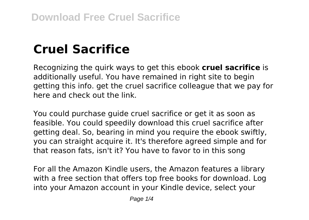# **Cruel Sacrifice**

Recognizing the quirk ways to get this ebook **cruel sacrifice** is additionally useful. You have remained in right site to begin getting this info. get the cruel sacrifice colleague that we pay for here and check out the link.

You could purchase guide cruel sacrifice or get it as soon as feasible. You could speedily download this cruel sacrifice after getting deal. So, bearing in mind you require the ebook swiftly, you can straight acquire it. It's therefore agreed simple and for that reason fats, isn't it? You have to favor to in this song

For all the Amazon Kindle users, the Amazon features a library with a free section that offers top free books for download. Log into your Amazon account in your Kindle device, select your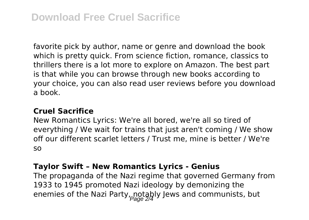favorite pick by author, name or genre and download the book which is pretty quick. From science fiction, romance, classics to thrillers there is a lot more to explore on Amazon. The best part is that while you can browse through new books according to your choice, you can also read user reviews before you download a book.

### **Cruel Sacrifice**

New Romantics Lyrics: We're all bored, we're all so tired of everything / We wait for trains that just aren't coming / We show off our different scarlet letters / Trust me, mine is better / We're so

# **Taylor Swift – New Romantics Lyrics - Genius**

The propaganda of the Nazi regime that governed Germany from 1933 to 1945 promoted Nazi ideology by demonizing the enemies of the Nazi Party, notably Jews and communists, but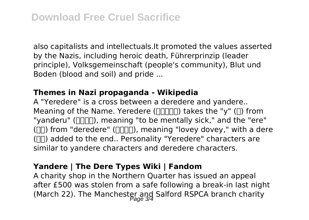also capitalists and intellectuals.It promoted the values asserted by the Nazis, including heroic death, Führerprinzip (leader principle), Volksgemeinschaft (people's community), Blut und Boden (blood and soil) and pride ...

#### **Themes in Nazi propaganda - Wikipedia**

A "Yeredere" is a cross between a deredere and yandere.. Meaning of the Name. Yeredere ( $\Pi\Pi\Pi\Pi$ ) takes the "y" ( $\Pi$ ) from "yanderu" ( $\Box$ ), meaning "to be mentally sick," and the "ere"  $(\Pi)$  from "deredere" ( $\Pi$  $\Pi$  $\Pi$ ), meaning "lovey dovey," with a dere ( $\Box$ ) added to the end.. Personality "Yeredere" characters are similar to yandere characters and deredere characters.

# **Yandere | The Dere Types Wiki | Fandom**

A charity shop in the Northern Quarter has issued an appeal after £500 was stolen from a safe following a break-in last night (March 22). The Manchester and Salford RSPCA branch charity